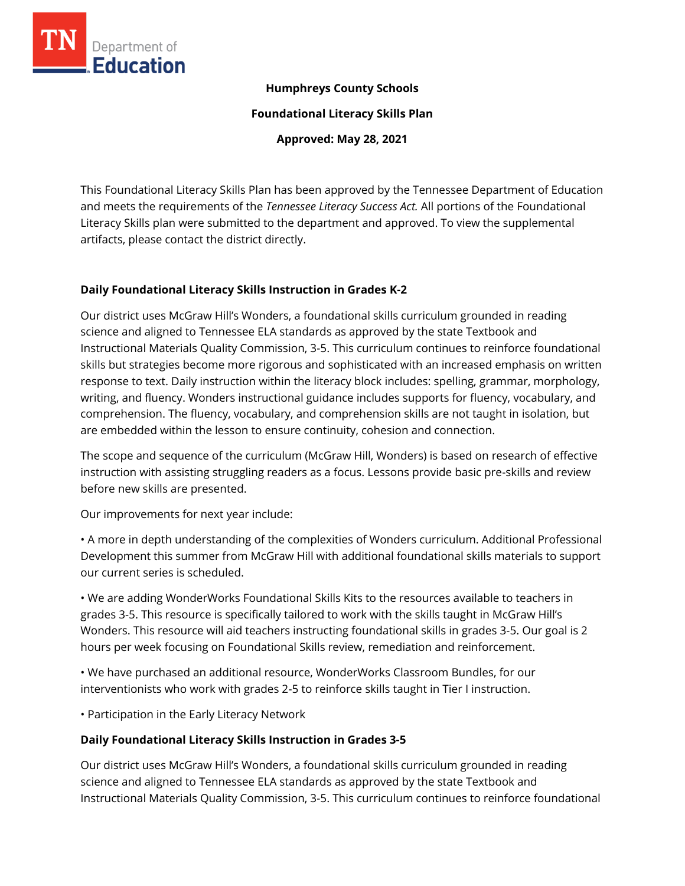

## **Humphreys County Schools**

**Foundational Literacy Skills Plan**

**Approved: May 28, 2021**

This Foundational Literacy Skills Plan has been approved by the Tennessee Department of Education and meets the requirements of the *Tennessee Literacy Success Act.* All portions of the Foundational Literacy Skills plan were submitted to the department and approved. To view the supplemental artifacts, please contact the district directly.

## **Daily Foundational Literacy Skills Instruction in Grades K-2**

Our district uses McGraw Hill's Wonders, a foundational skills curriculum grounded in reading science and aligned to Tennessee ELA standards as approved by the state Textbook and Instructional Materials Quality Commission, 3-5. This curriculum continues to reinforce foundational skills but strategies become more rigorous and sophisticated with an increased emphasis on written response to text. Daily instruction within the literacy block includes: spelling, grammar, morphology, writing, and fluency. Wonders instructional guidance includes supports for fluency, vocabulary, and comprehension. The fluency, vocabulary, and comprehension skills are not taught in isolation, but are embedded within the lesson to ensure continuity, cohesion and connection.

The scope and sequence of the curriculum (McGraw Hill, Wonders) is based on research of effective instruction with assisting struggling readers as a focus. Lessons provide basic pre-skills and review before new skills are presented.

Our improvements for next year include:

• A more in depth understanding of the complexities of Wonders curriculum. Additional Professional Development this summer from McGraw Hill with additional foundational skills materials to support our current series is scheduled.

• We are adding WonderWorks Foundational Skills Kits to the resources available to teachers in grades 3-5. This resource is specifically tailored to work with the skills taught in McGraw Hill's Wonders. This resource will aid teachers instructing foundational skills in grades 3-5. Our goal is 2 hours per week focusing on Foundational Skills review, remediation and reinforcement.

• We have purchased an additional resource, WonderWorks Classroom Bundles, for our interventionists who work with grades 2-5 to reinforce skills taught in Tier I instruction.

• Participation in the Early Literacy Network

## **Daily Foundational Literacy Skills Instruction in Grades 3-5**

Our district uses McGraw Hill's Wonders, a foundational skills curriculum grounded in reading science and aligned to Tennessee ELA standards as approved by the state Textbook and Instructional Materials Quality Commission, 3-5. This curriculum continues to reinforce foundational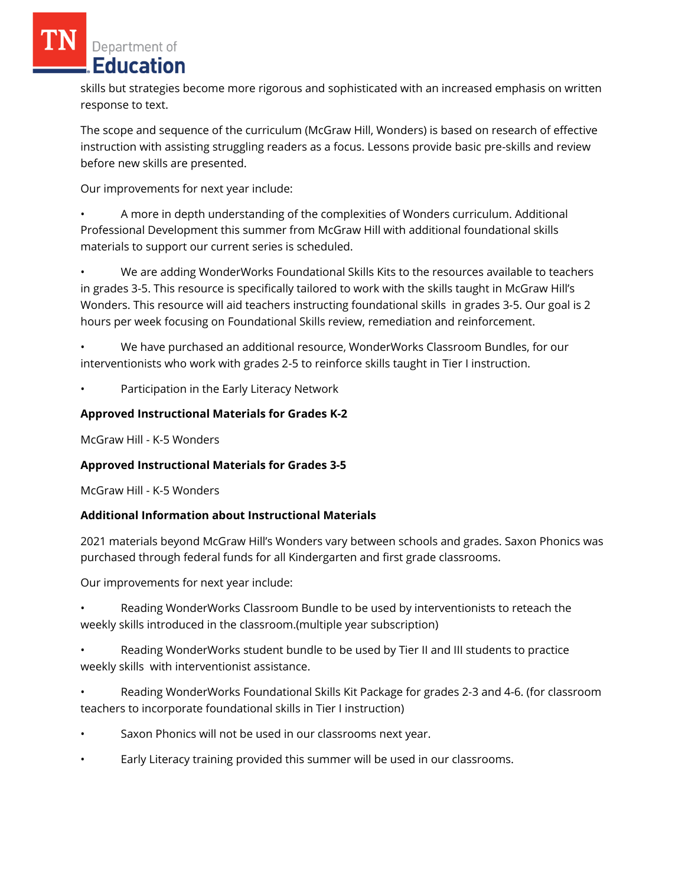Department of Education

skills but strategies become more rigorous and sophisticated with an increased emphasis on written response to text.

The scope and sequence of the curriculum (McGraw Hill, Wonders) is based on research of effective instruction with assisting struggling readers as a focus. Lessons provide basic pre-skills and review before new skills are presented.

Our improvements for next year include:

• A more in depth understanding of the complexities of Wonders curriculum. Additional Professional Development this summer from McGraw Hill with additional foundational skills materials to support our current series is scheduled.

• We are adding WonderWorks Foundational Skills Kits to the resources available to teachers in grades 3-5. This resource is specifically tailored to work with the skills taught in McGraw Hill's Wonders. This resource will aid teachers instructing foundational skills in grades 3-5. Our goal is 2 hours per week focusing on Foundational Skills review, remediation and reinforcement.

• We have purchased an additional resource, WonderWorks Classroom Bundles, for our interventionists who work with grades 2-5 to reinforce skills taught in Tier I instruction.

• Participation in the Early Literacy Network

## **Approved Instructional Materials for Grades K-2**

McGraw Hill - K-5 Wonders

## **Approved Instructional Materials for Grades 3-5**

McGraw Hill - K-5 Wonders

## **Additional Information about Instructional Materials**

2021 materials beyond McGraw Hill's Wonders vary between schools and grades. Saxon Phonics was purchased through federal funds for all Kindergarten and first grade classrooms.

Our improvements for next year include:

• Reading WonderWorks Classroom Bundle to be used by interventionists to reteach the weekly skills introduced in the classroom.(multiple year subscription)

• Reading WonderWorks student bundle to be used by Tier II and III students to practice weekly skills with interventionist assistance.

• Reading WonderWorks Foundational Skills Kit Package for grades 2-3 and 4-6. (for classroom teachers to incorporate foundational skills in Tier I instruction)

- Saxon Phonics will not be used in our classrooms next year.
- Early Literacy training provided this summer will be used in our classrooms.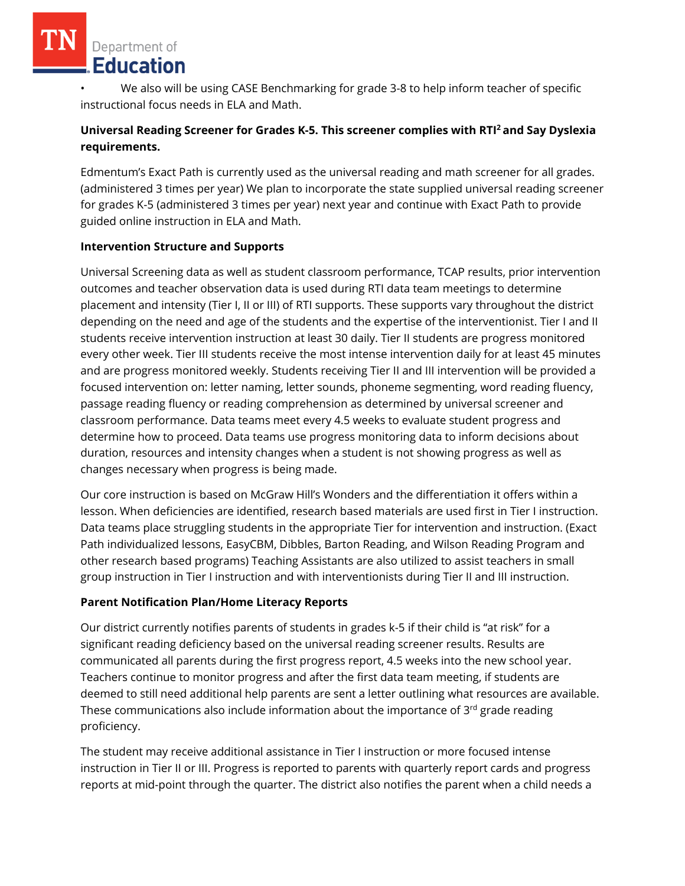# Department of Education

• We also will be using CASE Benchmarking for grade 3-8 to help inform teacher of specific instructional focus needs in ELA and Math.

# **Universal Reading Screener for Grades K-5. This screener complies with RTI<sup>2</sup>and Say Dyslexia requirements.**

Edmentum's Exact Path is currently used as the universal reading and math screener for all grades. (administered 3 times per year) We plan to incorporate the state supplied universal reading screener for grades K-5 (administered 3 times per year) next year and continue with Exact Path to provide guided online instruction in ELA and Math.

## **Intervention Structure and Supports**

Universal Screening data as well as student classroom performance, TCAP results, prior intervention outcomes and teacher observation data is used during RTI data team meetings to determine placement and intensity (Tier I, II or III) of RTI supports. These supports vary throughout the district depending on the need and age of the students and the expertise of the interventionist. Tier I and II students receive intervention instruction at least 30 daily. Tier II students are progress monitored every other week. Tier III students receive the most intense intervention daily for at least 45 minutes and are progress monitored weekly. Students receiving Tier II and III intervention will be provided a focused intervention on: letter naming, letter sounds, phoneme segmenting, word reading fluency, passage reading fluency or reading comprehension as determined by universal screener and classroom performance. Data teams meet every 4.5 weeks to evaluate student progress and determine how to proceed. Data teams use progress monitoring data to inform decisions about duration, resources and intensity changes when a student is not showing progress as well as changes necessary when progress is being made.

Our core instruction is based on McGraw Hill's Wonders and the differentiation it offers within a lesson. When deficiencies are identified, research based materials are used first in Tier I instruction. Data teams place struggling students in the appropriate Tier for intervention and instruction. (Exact Path individualized lessons, EasyCBM, Dibbles, Barton Reading, and Wilson Reading Program and other research based programs) Teaching Assistants are also utilized to assist teachers in small group instruction in Tier I instruction and with interventionists during Tier II and III instruction.

# **Parent Notification Plan/Home Literacy Reports**

Our district currently notifies parents of students in grades k-5 if their child is "at risk" for a significant reading deficiency based on the universal reading screener results. Results are communicated all parents during the first progress report, 4.5 weeks into the new school year. Teachers continue to monitor progress and after the first data team meeting, if students are deemed to still need additional help parents are sent a letter outlining what resources are available. These communications also include information about the importance of  $3<sup>rd</sup>$  grade reading proficiency.

The student may receive additional assistance in Tier I instruction or more focused intense instruction in Tier II or III. Progress is reported to parents with quarterly report cards and progress reports at mid-point through the quarter. The district also notifies the parent when a child needs a